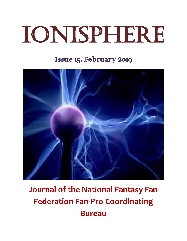# Ionisphere

## Issue 15, February 2019



## **Journal of the National Fantasy Fan Federation Fan-Pro Coordinating Bureau**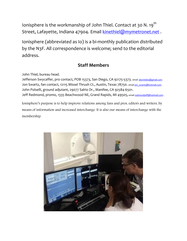Ionisphere is the workmanship of John Thiel. Contact at 30 N. 19<sup>th</sup> Street, Lafayette, Indiana 47904. Email [kinethiel@mymetronet.net](mailto:kinethiel@mymetronet.net).

Ionisphere (abbreviated as Io) is a bi-monthly publication distributed by the N3F. All correspondence is welcome; send to the editorial address.

#### **Staff Members**

John Thiel, bureau head.

Jefferson Swycaffer, pro contact, POB 15373, San Diego, CA 92175-5373. email [abontides@gmail.com](mailto:abontides@gmail.com). Jon Swartz, fan contact, 12115 Missel Thrush Ct., Austin, Texas 78750. email jon swartz@hotmail.com . John Polselli, ground adjutant, 29077 Salrio Dr., Manifee, CA 92584-6501. Jeff Redmond, promo, 1335 Beachwood NE, Grand Rapids, MI 49505, emai[l redmondjeff@hotmail.com](mailto:redmondjeff@hotmail.com).

Ionisphere's purpose is to help improve relations among fans and pros, editors and writers, by means of information and increased interchange. It is also our means of interchange with the membership.

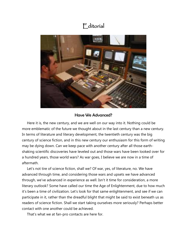#### **E**ditorial



#### Have We Advanced?

 Here it is, the new century, and we are well on our way into it. Nothing could be more emblematic of the future we thought about in the last century than a new century. In terms of literature and literary development, the twentieth century was the big century of science fiction, and in this new century our enthusiasm for this form of writing may be dying down. Can we keep pace with another century after all those earthshaking scientific discoveries have leveled out and those wars have been looked over for a hundred years, those world wars? As war goes, I believe we are now in a time of aftermath.

 Let's not tire of science fiction, shall we? Of war, yes, of literature, no. We have advanced through time, and considering those wars and upsets we have advanced through, we've advanced in experience as well. Isn't it time for consideration, a more literary outlook? Some have called our time the Age of Enlightenment, due to how much it's been a time of civilization. Let's look for that same enlightenment, and see if we can participate in it, rather than the dreadful blight that might be said to exist beneath us as readers of science fiction. Shall we start taking ourselves more seriously? Perhaps better contact with one another could be achieved.

That's what we at fan-pro contacts are here for.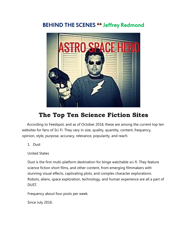#### BEHIND THE SCENES \*\* Jeffrey Redmond



### **The Top Ten Science Fiction Sites**

According to Feedspot, and as of October 2018, these are among the current top ten websites for fans of Sci Fi. They vary in size, quality, quantity, content, frequency, opinion, style, purpose, accuracy, relevance, popularity, and reach.

1. Dust

United States

Dust is the first multi-platform destination for binge watchable sci-fi. They feature science fiction short films, and other content, from emerging filmmakers with stunning visual effects, captivating plots, and complex character explorations. Robots, aliens, space exploration, technology, and human experience are all a part of DUST.

Frequency about four posts per week.

Since July 2016.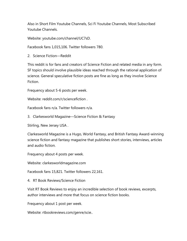Also in Short Film Youtube Channels, Sci Fi Youtube Channels, Most Subscribed Youtube Channels.

Website: youtube.com/channel/UC7sD.

Facebook fans 1,015,106. Twitter followers 780.

2. Science Fiction—Reddit

This reddit is for fans and creators of Science Fiction and related media in any form. SF topics should involve plausible ideas reached through the rational application of science. General speculative fiction posts are fine as long as they involve Science Fiction.

Frequency about 5-6 posts per week.

Website: reddit.com/r/sciencefiction .

Facebook fans n/a. Twitter followers n/a.

3. Clarkesworld Magazine—Science Fiction & Fantasy

Stirling, New Jersey USA .

Clarkesworld Magazine is a Hugo, World Fantasy, and British Fantasy Award-winning science fiction and fantasy magazine that publishes short stories, interviews, articles and audio fiction.

Frequency about 4 posts per week.

Website: clarkesworldmagazine.com

Facebook fans 15,821. Twitter followers 22,161.

4. RT Book Reviews/Science Fiction

Visit RT Book Reviews to enjoy an incredible selection of book reviews, excerpts, author interviews and more that focus on science fiction books.

Frequency about 1 post per week.

Website: rtbookreviews.com/genre/scie..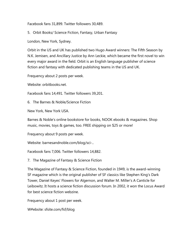Facebook fans 31,899. Twitter followers 30,489.

5. Orbit Books/ Science Fiction, Fantasy, Urban Fantasy

London, New York, Sydney.

Orbit in the US and UK has published two Hugo Award winners: The Fifth Season by N.K. Jemisen, and Ancillary Justice by Ann Leckie, which became the first novel to win every major award in the field. Orbit is an English language publisher of science fiction and fantasy with dedicated publishing teams in the US and UK.

Frequency about 2 posts per week.

Website: orbitbooks.net.

Facebook fans 14,491. Twitter followers 39,201.

6. The Barnes & Noble/Science Fiction

New York, New York USA.

Barnes & Noble's online bookstore for books, NOOK ebooks & magazines. Shop music, movies, toys & games, too. FREE shipping on \$25 or more!

Frequency about 9 posts per week.

Website: barnesandnoble.com/blog/sci-..

Facebook fans 7,006. Twitter followers 14,882.

7. The Magazine of Fantasy & Science Fiction

The Magazine of Fantasy & Science Fiction, founded in 1949, is the award-winning SF magazine which is the original publisher of SF classics like Stephen King's Dark Tower, Daniel Keyes' Flowers for Algernon, and Walter M. Miller's A Canticle for Leibowitz. It hosts a science fiction discussion forum. In 2002, it won the Locus Award for best science fiction webzine.

Frequency about 1 post per week.

W#ebsite: sfsite.com/fsf/blog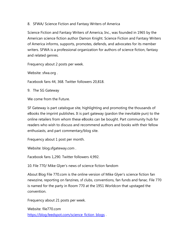#### 8. SFWA/ Science Fiction and Fantasy Writers of America

Science Fiction and Fantasy Writers of America, Inc., was founded in 1965 by the American science fiction author Damon Knight. Science Fiction and Fantasy Writers of America informs, supports, promotes, defends, and advocates for its member writers. SFWA is a professional organization for authors of science fiction, fantasy and related genres.

Frequency about 2 posts per week.

Website: sfwa.org .

Facebook fans 44, 368. Twitter followers 20,818.

9. The SG Gateway

We come from the Future.

SF Gateway is part catalogue site, highlighting and promoting the thousands of eBooks the imprint publishes. It is part gateway (pardon the inevitable pun) to the online retailers from whom these eBooks can be bought. Part community hub for readers who wish to discuss and recommend authors and books with their fellow enthusiasts, and part commentary/blog site.

Frequency about 1 post per month.

Website: blog.sfgateway.com .

Facebook fans 1,290. Twitter followers 4,992.

10. File 770/ Mike Glyer's news of science fiction fandom

About Blog File 770.com is the online version of Mike Glyer's science fiction fan newszine, reporting on fanzines, sf clubs, conventions, fan funds and fanac. File 770 is named for the party in Room 770 at the 1951 Worldcon that upstaged the convention.

Frequency about 21 posts per week.

Website: file770.com [https://blog.feedspot.com/science\\_fiction\\_blogs](https://blog.feedspot.com/science_fiction_blogs) .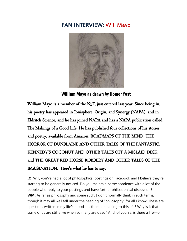#### FAN INTERVIEW: Will Mayo



William Mayo as drawn by Homer Yost

William Mayo is a member of the N3F, just entered last year. Since being in, his poetry has appeared in Ionisphere, Origin, and Synergy (NAPA), and in Eldritch Science, and he has joined NAPA and has a NAPA publication called The Makings of a Good Life. He has published four collections of his stories and poetry, available from Amazon: ROADMAPS OF THE MIND, THE HORROR OF DUNBLAINE AND OTHER TALES OF THE FANTASTIC, KENNEDY'S COCONUT AND OTHER TALES OFF A MISLAID DESK, and THE GREAT RED HORSE ROBBERY AND OTHER TALES OF THE IMAGINATION. Here's what he has to say:

**IO**: Will, you've had a lot of philosophical postings on Facebook and I believe they're starting to be generally noticed. Do you maintain correspondence with a lot of the people who reply to your postings and have further philosophical discussion? **WM:** As far as philosophy and some such, I don't normally think in such terms, though it may all well fall under the heading of "philosophy" for all I know. These are questions written in my life's blood—is there a meaning to this life? Why is it that some of us are still alive when so many are dead? And, of course, is there a life—or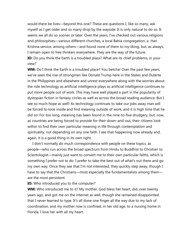would there be lives—beyond this one? These are questions I, like so many, ask myself as I get older and so many drop by the wayside. It is only natural to do so. It seems we all do so sooner or later. Over the years, I've checked out various religions and philosophies—various different churches, a local Bahia congregation, a Hari Krishna service, among others—and found none of them to my liking, but, as always, I remain open to free thinkers everywhere. They are the way of the future. **IO:** Do you think the Earth is a troubled place? What are its chief problems, in your view?

WM: Do I think the Earth is a troubled place? You betcha! Over the past few years, we've seen the rise of strongmen like Donald Trump here in the States and Duterte in the Philippines and elsewhere and unrest everywhere along with the worries about the role technology as artificial intelligence plays as artificial intelligence continues to put more people out of work. This may have well played a part in the popularity of dystopian fiction in fantasy circles as well as across the broad reading audience. But I see so much hope as well! As technology continues to take our jobs away man will be forced to look inside and find meaning outside of work, and it is high time that he did so! For too long, meaning has been found in the nine-to-five drudgery, but, now, as countries are being forced to provide for their down-and-out, their citizens look within to find their own particular meaning in life through contemplation and spirituality, not depending on any one faith. I see that happening now already and, again, it is a good thing in its own right.

 I don't normally do much correspondence with people on these topics, as people—who run across the broad spectrum from Hindu to Buddhist to Christian to Scientologist—mainly just want to convert me to their own particular faiths, which is something I prefer not to do. I prefer to take the best out of what's out there and go my own way. Once they see that I'm not interested, they quickly step away, though I have to say that the Christians—most especially the fundamentalists among them are the most persistent.

**IO:** Who introduced you to the computer?

**WM:** Who introduced me to it? My mother, God bless her heart, did, over twenty years ago, and got me on the internet as well, though she remained disappointed that I never learned to type. It's all done one finger all the way due to my lack of coordination, and my mother now is confined, in her old age, to a nursing home in Florida. I love her with all my heart.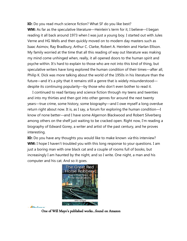**IO:** Do you read much science fiction? What SF do you like best?

**WM:** As far as the speculative literature—Heinlein's term for it, I believe—I began reading it all back around 1973 when I was just a young boy. I started out with Jules Verne and HG Wells and then quickly moved on to modern day masters such as Isaac Asimov, Ray Bradbury, Arthur C. Clarke, Robert A. Heinlein and Harlan Ellison. My family worried at the time that all this reading of way out literature was making my mind come unhinged when, really, it all opened doors to the human spirit and psyche within. It's hard to explain to those who are not into this kind of thing, but speculative writers have long explored the human condition of their times—after all, Philip K. Dick was more talking about the world of the 1950s in his literature than the future—and it's a pity that it remains still a genre that is widely misunderstood despite its continuing popularity—by those who don't even bother to read it.

 I continued to read fantasy and science fiction through my teens and twenties and into my thirties and then got into other genres for around the next twenty years—true crime, some history, some biography—and I owe myself a long overdue return right about now. It is, as I say, a forum for exploring the human condition—I know of none better—and I have some Algernon Blackwood and Robert Silverberg among others on the shelf just waiting to be cracked open. Right now, I'm reading a biography of Edward Gorey, a writer and artist of the past century, and he proves interesting.

**IO:** Do you have any thoughts you would like to make known *via* this interview? **WM:** I hope I haven't troubled you with this long response to your questions. I am just a boring man with one black cat and a couple of rooms full of books, but increasingly I am haunted by the night, and so I write. One night, a man and his computer and his cat. And so it goes.



 $\sqrt{2\pi}$ 

One of Will Mayo's published works…found on Amazon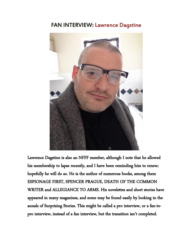#### FAN INTERVIEW: Lawrence Dagstine



Lawrence Dagstine is also an NFFF member, although I note that he allowed his membership to lapse recently, and I have been reminding him to renew; hopefully he will do so. He is the author of numerous books, among them ESPIONAGE FIRST, SPENCER PRAGUE, DEATH OF THE COMMON WRITER and ALLEGIANCE TO ARMS. His novelettes and short stories have appeared in many magazines, and some may be found easily by looking in the annals of Surprising Stories. This might be called a pro interview, or a fan-topro interview, instead of a fan interview, but the transition isn't completed.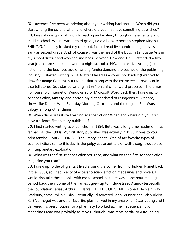**IO:** Lawrence, I've been wondering about your writing background. When did you start writing things, and when and where did you first have something published? **LD:** I was always good at English, reading and writing, throughout elementary and middle school. When I was in third grade, I did a book report on Stephen King's THE SHINING; I actually freaked my class out. I could read five hundred page novels as early as second grade. And, of course, I was the head of the boys in Language Arts in my school district and won spelling bees. Between 1994 and 1996 I attended a twoyear journalism school and went to night school at NYU for creative writing (short fiction) and the business side of writing (understanding the science of the publishing industry). I started writing in 1994, after I failed as a comic book artist (I wanted to draw for Image Comics), but I found that, along with the characters I drew, I could also tell stories. So I started writing in 1994 on a Brother word processor. There was no household internet or Windows 95 or Microsoft Word back then. I grew up to science fiction, fantasy, and horror. My diet consisted of Dungeons & Dragons, shows like Doctor Who, Saturday Morning Cartoons, and the original Star Wars trilogy, among other things.

**IO:** When did you first start writing science fiction? When and where did you first have a science fiction story published?

**LD:** I first started writing science fiction in 1994. But I was a long time reader of it, as far back as the 1980s. My first story published was actually in 1996. It was to your print fanzine, PABLO LENNIS—"The Empty Planet". One of my favorite types of science fiction, still to this day, is the pulpy astronaut tale or well-thought-out piece of interplanetary exploration.

**IO:** What was the first science fiction you read, and what was the first science fiction magazine you read?

**LD:** I grew up to the SF giants. I lived around the corner from Forbidden Planet back in the 1980s, so I had plenty of access to science fiction magazines and novels. I would also take these books with me to school, as there was a one hour reading period back then. Some of the names I grew up to include Isaac Asimov (especially the Foundation series), Arthur C. Clarke (CHILDHOOD'S END), Robert Heinlein, Ray Bradbury, some Philip K. Dick. Eventually I discovered John Brunner and Brian Aldiss. Kurt Vonnegut was another favorite, plus he lived in my area when I was young and I delivered his prescriptions for a pharmacy I worked at. The first science fiction magazine I read was probably Asimov's…though I was most partial to Astounding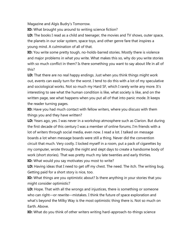Magazine and Algis Budry's Tomorrow.

**IO:** What brought you around to writing science fiction?

**LD:** The books I read as a child and teenager, the movies and TV shows, outer space, the planets in our solar system, space toys, and other genre fare that inspires a young mind. A culmination of all of that.

**IO:** You write some pretty tough, no-holds-barred stories. Mostly there is violence and major problems in what you write. What makes this so, why do you write stories with so much conflict in them? Is there something you want to say about life in all of this?

**LD:** That there are no real happy endings. Just when you think things might work out, events can easily turn for the worst. I tend to do this with a lot of my speculative and sociological works. Not so much my Hard SF, which I rarely write any more. It's interesting to see what the human condition is like, what society is like, and on the written page, see what happens when you put all of that into panic mode. It keeps the reader turning pages.

**IO:** Have you had much contact with fellow writers, where you discuss with them things you and they have written?

**LD:** Years ago, yes. I was never in a workshop atmosphere such as Clarion. But during the first decade of this century I was a member of online forums. I'm friends with a lot of writers through social media, even now. I read a lot. I talked on message boards a lot when message boards were still a thing. Never did the convention circuit that much. Very costly. I locked myself in a room, put a pack of cigarettes by my computer, wrote through the night and slept days to create a handsome body of work (short stories). That was pretty much my late twenties and early thirties.

**IO:** What would you say motivates you most to write?

**LD:** Having ideas that I need to get off my chest. The need. The itch. The writing bug. Getting paid for a short story is nice, too.

**IO:** What things are you optimistic about? Is there anything in your stories that you might consider optimistic?

**LD:** Hope. That with all the wrongs and injustices, there is something or someone who can right—or rewrite—mistakes. I think the future of space exploration and what's beyond the Milky Way is the most optimistic thing there is. Not so much on Earth. Above.

**IO:** What do you think of other writers writing hard-approach-to-things science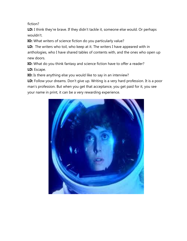fiction?

LD: I think they're brave. If they didn't tackle it, someone else would. Or perhaps wouldn't.

**IO:** What writers of science fiction do you particularly value?

**LD:** The writers who toil, who keep at it. The writers I have appeared with in anthologies, who I have shared tables of contents with, and the ones who open up new doors.

**IO:** What do you think fantasy and science fiction have to offer a reader? **LD:** Escape.

**IO:** Is there anything else you would like to say in an interview?

LD: Follow your dreams. Don't give up. Writing is a very hard profession. It is a poor man's profession. But when you get that acceptance, you get paid for it, you see your name in print, it can be a very rewarding experience.

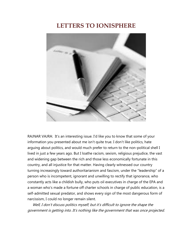#### **LETTERS TO IONISPHERE**



RAJNAR VAJRA: It's an interesting issue. I'd like you to know that some of your information you presented about me isn't quite true. I don't like politics, hate arguing about politics, and would much prefer to return to the non-political shell I lived in just a few years ago. But I loathe racism, sexism, religious prejudice, the vast and widening gap between the rich and those less economically fortunate in this country, and all injustice for that matter. Having clearly witnessed our country turning increasingly toward authoritarianism and fascism, under the "leadership" of a person who is incompetent, ignorant and unwilling to rectify that ignorance, who constantly acts like a childish bully, who puts oil executives in charge of the EPA and a woman who's made a fortune off charter schools in charge of public education, is a self-admitted sexual predator, and shows every sign of the most dangerous form of narcissism, I could no longer remain silent.

 Well, I don't discuss politics myself, but it's difficult to ignore the shape the government is getting into. It's nothing like the government that was once projected.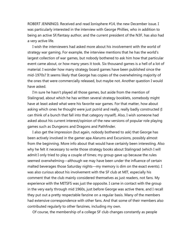ROBERT JENNINGS: Received and read Ionisphere #14, the new December issue. I was particularly interested in the interview with George Phillies, who in addition to being an active SF/fantasy author, and the current president of the N3F, has also had a very active life.

 I wish the interviewers had asked more about his involvement with the world of strategy war gaming. For example, the interview mentions that he has the world's largest collection of war games, but nobody bothered to ask him how that particular event came about, or how many years it took. Six thousand games is a hell of a lot of material. I wonder how many strategy board games have been published since the mid-1970s? It seems likely that George has copies of the overwhelming majority of the ones that were commercially released, but maybe not. Another question I would have asked.

 I'm sure he hasn't played all those games, but aside from the mention of Stalingrad, about which he has written several strategy booklets, somebody might have at least asked what were his favorite war games. For that matter, how about asking which ones he thought were just putrid and really, really badly constructed (I can think of a bunch that fall into that category myself). Also, I wish someone had asked about his current interest/opinion of the new versions of popular role playing games such as Dungeons and Dragons and Pathfinder.

 I also get the impression (but again, nobody bothered to ask) that George has been actively involved in the gamer apa Alarums and Excursions, possibly almost from the beginning. More info about that would have certainly been interesting. Also why he felt it necessary to write those strategy books about Stalingrad (which I will admit I only tried to play a couple of times; my group gave up because the rules seemed overwhelming—although we may have been under the influence of certain malted beverages those Saturday nights—my memory is dim on the exact events). I was also curious about his involvement with the SF club at MIT, especially his comment that the club mainly considered themselves as just readers, not fans. My experience with the MITSFS was just the opposite. I came in contact with the group in the very early through mid 1960s, just before George was active there, and I recall they put out a pretty respectable fanzine on a regular basis. Many of the members had extensive correspondence with other fans. And that some of their members also contributed regularly to other fanzines, including my own.

Of course, the membership of a college SF club changes constantly as people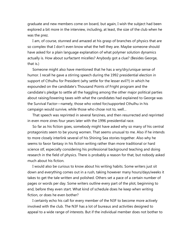graduate and new members come on board, but again, I wish the subject had been explored a bit more in the interview, including, at least, the size of the club when he was the prez.

 I am, of course, stunned and amazed at his grasp of branches of physics that are so complex that I don't even know what the hell they are. Maybe someone should have asked for a plain language explanation of what polymer solution dynamics actually is. How about surfactant micelles? Anybody got a clue? (Besides George, that is.)

 Someone might also have mentioned that he has a wry/dry/unique sense of humor. I recall he gave a stirring speech during the 1992 presidential election in support of Cthulhu for President (why settle for the lesser evil?!) in which he expounded on the candidate's Thousand Points of Fright program and the candidate's pledge to settle all the haggling among the other major political parties about raising/lowering taxes with what the candidates had explained to George was the Survival Factor—namely, those who voted for/supported Cthulhu in his campaign would survive, while those who chose not to, well…

 That speech was reprinted in several fanzines, and then resurrected and reprinted in even more zines four years later with the 1996 presidential race.

 So far as his fiction goes, somebody might have asked why so many of his central protagonists seem to be young women. That seems unusual to me. Also if he intends to more closely interlink several of his Shining Sea stories together. Also why he seems to favor fantasy in his fiction writing rather than more traditional or hard science stf, especially considering his professional background teaching and doing research in the field of physics. There is probably a reason for that, but nobody asked much about his fiction.

 I would also be curious to know about his writing habits. Some writers just sit down and everything comes out in a rush, taking however many hours/days/weeks it takes to get the tale written and polished. Others set a pace of a certain number of pages or words per day. Some writers outline every part of the plot, beginning to end, before they even start. What kind of schedule does he keep when writing fiction, or does he even bother?

 I certainly echo his call for every member of the N3F to become more actively involved with the club. The N3F has a lot of bureaus and activities designed to appeal to a wide range of interests. But if the individual member does not bother to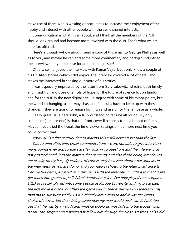make use of them s/he is wasting opportunities to increase their enjoyment of the hobby and interact with other people with the same shared interests.

 Communication is what it's all about, and I think all the members of the N3F should look around and become more involved with the club. That's what we are here for, after all.

 Here's a thought—how about I send a copy of this email to George Phillies as well as to you, and maybe he can add some more commentary and background info to the interview that you can use for an upcoming issue?

 Otherwise, I enjoyed the interview with Rajnar Vajra, but I only know a couple of his Dr. Alien stories (which I did enjoy). The interview covered a lot of detail and makes me interested in seeking out more of his stories.

 I was especially impressed by the letter from Gary Labowitz, which is both timely and insightful, and does offer lots of hope for the future of science fiction fandom and for the N3F in the new digital age. I disagree with some of his minor points, but the world is changing, as it always has, and fan clubs have to keep up with these changes if they are going to remain both fun and useful for the fan base as a whole.

 Really great issue here John, a truly outstanding fanzine all round. My only complaint (a minor one) is that the front cover illo seems to be a bit out of focus. Maybe if you tried the tweak the time-viewer settings a little more next time you could correct that.

Your LoC is a fine contribution to making this a still better issue than the last.

 Due to difficulties with email communications we are not able to give interviews many goings-over and so there are few follow-up questions and the interviews do not proceed much into the matters that come up, and also those being interviewed are usually pretty busy. Questions, of course, may be asked about what appears in the interviews, as you are doing, and your idea of showing the letter in advance to George has perhaps solved your problems with the interview. I might add that I don't get much into games myself; I don't know about Jon. I've only played one wargame, D&D as I recall, played with some people at Purdue University, and my piece died the first move it made, but then the game was further explained and thereafter my man made out successfully. I'd run directly into a dragon and it was the wrong choice of moves, but then, being asked how my man would deal with it, I pointed out that he was by a woods and what he would do was fade into the woods when he saw the dragon and it would not follow him through the close-set trees. I also did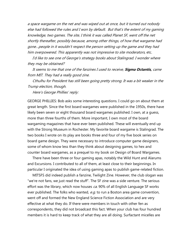a space wargame on the net and was wiped out at once, but it turned out nobody else had followed the rules and I won by default. But that's the extent of my gaming knowledge, two games. The site, I think it was called Planet SF, went off the net shortly thereafter, possibly because, among other things, of how that wargame had gone…people in it wouldn't respect the person setting up the game and they had him overpowered. This apparently was not impressive to site moderators, etc.

 I'd like to see one of George's strategy books about Stalingrad. I wonder where they may be obtained?

 It seems to me that one of the fanzines I used to receive, **Sigma Octantis,** came from MIT. They had a really good zine.

 Cthulhu for President has still been going pretty strong. It was a bit weaker in the Trump election, though.

Here's George Phillies' reply:

GEORGE PHILLIES: Bob asks some interesting questions. I could go on about them at great length. Since the first board wargames were published in the 1950s, there have likely been seven or eight thousand board wargames published. I own, at a guess, more than three fourths of them. More important, I own most of the board wargaming magazines that have ever been published. These will eventually end up with the Strong Museum in Rochester. My favorite board wargame is Stalingrad. The two books I wrote on its play are books three and four of my five book series on board game design. They were necessary to introduce computer game designers, some of whom know less than they think about designing games, to hex and counter board wargames, as a prequel to my book on Design of Board Wargames.

 There have been three or four gaming apas, notably the Wild Hunt and Alarums and Excursions. I contributed to all of them, at least close to their beginnings. In particular I originated the idea of using gaming apas to publish game-related fiction.

 MITSFS did indeed publish a fanzine, Twilight Zine. However, the club slogan was "we're not fans, we just read the stuff". The SF zine was a side venture. The serious effort was the library, which now houses ca. 90% of all English Language SF works ever published. The folks who wanted, e.g. to run a Boston area game convention, went off and formed the New England Science Fiction Association and are very effective at what they do. If there were members in touch with other fen as correspondents, they did not broadcast this fact. When your club has four hundred members it is hard to keep track of what they are all doing. Surfactant micelles are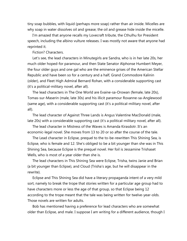tiny soap bubbles, with liquid (perhaps more soap) rather than air inside. Micelles are why soap in water dissolves oil and grease; the oil and grease hide inside the micelle.

 I'm amazed that anyone recalls my Lovecraft tribute, the Cthulhu for President speech, including the albino vulture releases. I was mostly not aware that anyone had reprinted it.

Fiction? Characters.

 Let's see, the lead characters in Minutegirls are Sandra, who is in her late 20s, her much older hoped-for paramour, and then State Senator Alphonse Humbert Meyer, the four older guys and one gal who are the eminence grises of the American Stellar Republic and have been so for a century and a half, Grand Commodore Kalinin (older), and Fleet High Admiral Bernard Rohan, with a considerable supporting cast (it's a political-military novel, after all).

 The lead characters in The One World are Evaine-sa-Orowan (female, late 20s), Tomas-sur-Maserin (male, late 30s) and his illicit paramour Roxanne-sa-Anglewood (same age), with a considerable supporting cast (it's a political-military novel, after all).

 The lead character of Against Three Lands is Angus Valentine MacDonald (male, late 20s) with a considerable supporting cast (it's a political-military novel, after all).

 The lead character in Mistress of the Waves is Amanda Kirasdotr. It's an economic-legal novel. She moves from 13 to 20 or so after the course of the tale.

 The Lead character in Eclipse, prequel to the to-be-rewritten This Shining Sea, is Eclipse, who is female and 12. She's obliged to be a bit younger than she was in This Shining Sea, because Eclipse is the prequel novel. Her foil is Jessamine Trishaset Wells, who is most of a year older than she is.

 The lead characters in This Shining Sea were Eclipse, Trisha, twins Janie and Brian (a bit younger than Eclipse), and Cloud (Trisha's age, but he will disappear in the rewrite).

 Eclipse and This Shining Sea did have a literary propaganda intent of a very mild sort, namely to break the trope that stories written for a particular age group had to have characters more or less the age of that group, so that Eclipse being 12 according to the trope meant that the tale was being written for twelve-year-olds. Those novels are written for adults.

 Bob has mentioned having a preference for lead characters who are somewhat older than Eclipse, and male. I suppose I am writing for a different audience, though I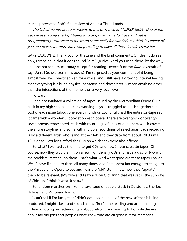much appreciated Bob's fine review of Against Three Lands.

 The ladies' names are reminiscent, to me, of Trance in ANDROMEDA. (One of the people at the Syfy site kept trying to change her name to Trace and get it programmed.) You seem to me to do some really far-out fiction. I think it's liberal of you and makes for more interesting reading to have all those female characters.

GARY LABOWITZ: Thank you for the zine and the kind comments. Oh dear, I do see now, rereading it, that it does sound "dire". (A nice word you used there, by the way, and one not seen much today except for reading Lovecraft or the *faux* Lovecraft of, say, Darrell Schweitzer in his book.) I'm surprised at your comment of it being almost zen-like. I practiced Zen for a while, and I still have a growing internal feeling that everything is a huge physical nonsense and doesn't really mean anything other than the interactions of the moment on a very local level.

Forward!

 I had accumulated a collection of tapes issued by the Metropolitan Opera Guild back in my high school and early working days. I struggled to pinch together the cost of each issue (about one every month or two) until I had the entire 52-tape set. It came with a wonderful booklet on each opera. There are twenty-six or twentyseven operas represented, each with recordings of arias of one opera which covers the entire storyline, and some with multiple recordings of select arias. Each recording is by a different artist who "sang at the Met" and they date from about 1903 until 1957 or so. I couldn't afford the CDs on which they were also offered.

 So what? I wanted at the time to get CDs, and now I have cassette tapes. Of course, now they would all fit on a few high density CDs and have a disc or two with the booklets' material on them. That's what! And what good are these tapes I have? Well, I have listened to them all many times, and I am opera fan enough to still go to the Philadelphia Opera to see and hear the "old" stuff. I hate how they "update" them to be relevant. (My wife and I saw a "Don Giovanni" that was set in the subways of Chicago, I think it was). Just awful!!

 So fandom marches on, like the cavalcade of people stuck in Oz stories, Sherlock Holmes, and Victorian drama.

I can't tell if I'm lucky that I didn't get hooked in all of the new stf that is being produced. I might like it and spend all my "free" time reading and accumulating it instead of doing my lettering (talk about retro…), and waking to horrible dreams about my old jobs and people I once knew who are all gone but for memories.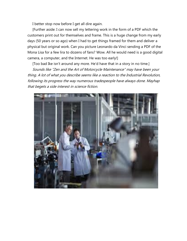I better stop now before I get all dire again.

 [Further aside: I can now sell my lettering work in the form of a PDF which the customers print out for themselves and frame. This is a huge change from my early days (50 years or so ago) when I had to get things framed for them and deliver a physical but original work. Can you picture Leonardo da Vinci sending a PDF of the Mona Lisa for a few lira to dozens of fans? Wow. All he would need is a good digital camera, a computer, and the Internet. He was too early!]

[Too bad Ike isn't around any more. He'd have that in a story in no time.]

 Sounds like "Zen and the Art of Motorcycle Maintenance" may have been your thing. A lot of what you describe seems like a reaction to the Industrial Revolution, following its progress the way numerous tradespeople have always done. Mayhap that begets a side interest in science fiction.

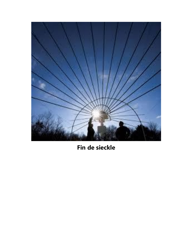

## **Fin de sieckle**